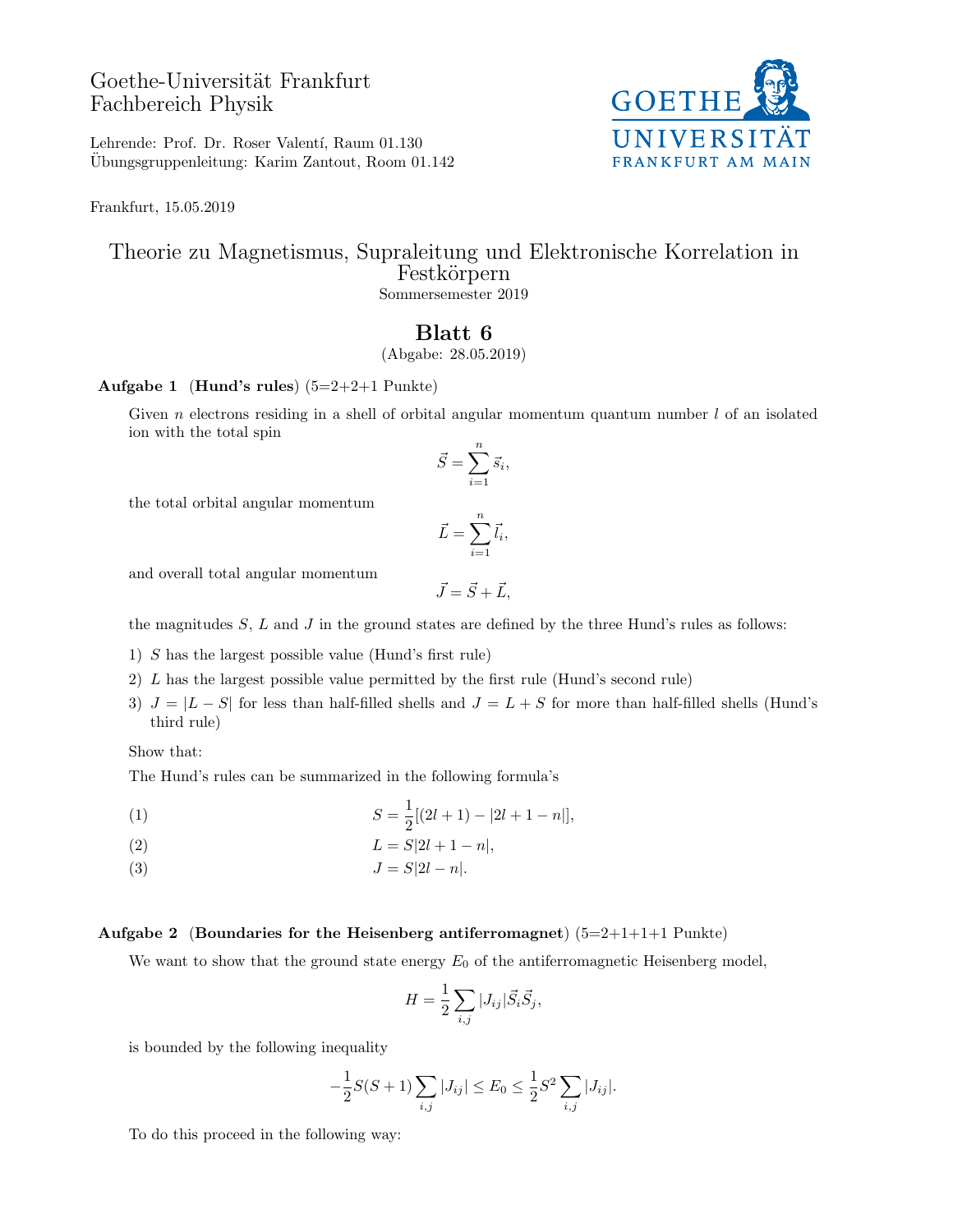# Goethe-Universität Frankfurt Fachbereich Physik

**GOETHE** UNIVERSITÄT **FRANKFURT AM MAIN** 

Lehrende: Prof. Dr. Roser Valentí, Raum 01.130 Ubungsgruppenleitung: Karim Zantout, Room 01.142 ¨

Frankfurt, 15.05.2019

### Theorie zu Magnetismus, Supraleitung und Elektronische Korrelation in Festkörpern Sommersemester 2019

## Blatt 6

(Abgabe: 28.05.2019)

#### Aufgabe 1 (Hund's rules)  $(5=2+2+1 \text{ Punkte})$

Given n electrons residing in a shell of orbital angular momentum quantum number  $l$  of an isolated ion with the total spin

$$
\vec{S} = \sum_{i=1}^{n} \vec{s}_i,
$$

the total orbital angular momentum

$$
\vec{L} = \sum_{i=1}^{n} \vec{l}_i,
$$

and overall total angular momentum

$$
\vec{J}=\vec{S}+\vec{L},
$$

the magnitudes  $S, L$  and  $J$  in the ground states are defined by the three Hund's rules as follows:

1) S has the largest possible value (Hund's first rule)

- 2) L has the largest possible value permitted by the first rule (Hund's second rule)
- 3)  $J = |L S|$  for less than half-filled shells and  $J = L + S$  for more than half-filled shells (Hund's third rule)

Show that:

The Hund's rules can be summarized in the following formula's

(1) 
$$
S = \frac{1}{2}[(2l+1) - |2l+1-n|],
$$

$$
(2) \qquad \qquad L = S[2l + 1 - n],
$$

(3)  $J = S|2l - n|.$ 

#### Aufgabe 2 (Boundaries for the Heisenberg antiferromagnet)  $(5=2+1+1+1$  Punkte)

We want to show that the ground state energy  $E_0$  of the antiferromagnetic Heisenberg model,

$$
H = \frac{1}{2} \sum_{i,j} |J_{ij}| \vec{S}_i \vec{S}_j,
$$

is bounded by the following inequality

$$
-\frac{1}{2}S(S+1)\sum_{i,j}|J_{ij}| \le E_0 \le \frac{1}{2}S^2\sum_{i,j}|J_{ij}|.
$$

To do this proceed in the following way: